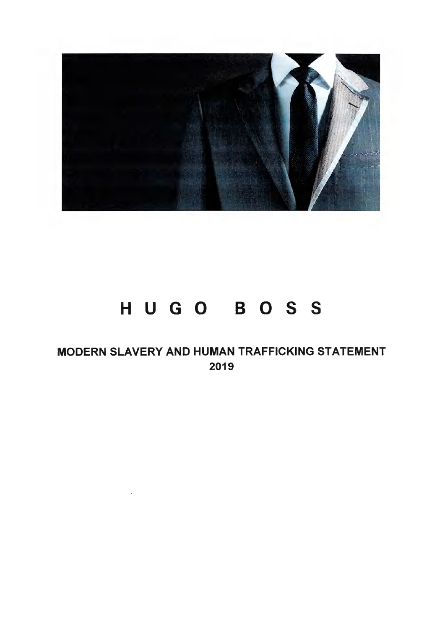

# **HUGO BOSS**

MODERN SLAVERY AND HUMAN TRAFFICKING STATEMENT 2019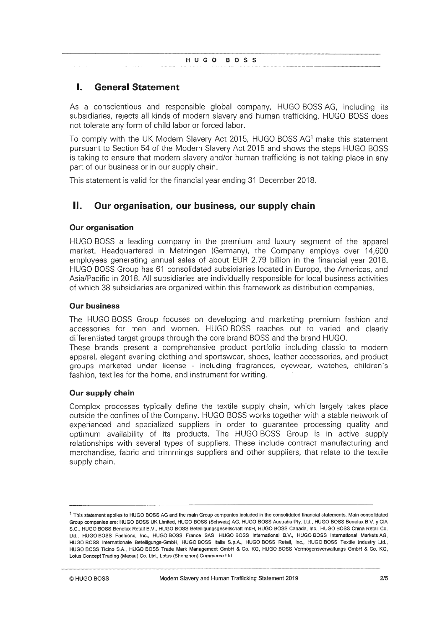## **I. General Statement**

As a conscientious and responsible global company, HUGO BOSS AG, including its subsidiaries, rejects all kinds of modern slavery and human trafficking. HUGO BOSS does not tolerate any form of child labor or forced labor.

To comply with the UK Modern Slavery Act 2015, HUGO BOSS AG1 make this statement pursuant to Section 54 of the Modern Slavery Act 2015 and shows the steps HUGO BOSS is taking to ensure that modern slavery and/or human trafficking is not taking place in any part of our business or in our supply chain.

This statement is valid for the financial year ending 31 December 2018.

## **II. Our organisation, our business, our supply chain**

#### **Our organisation**

HUGO BOSS a leading company in the premium and luxury segment of the apparel market. Headquartered in Metzingen (Germany), the Company employs over 14,600 employees generating annual sales of about EUR 2.79 billion in the financial year 2018. HUGO BOSS Group has 61 consolidated subsidiaries located in Europe, the Americas, and Asia/Pacific in 2018. All subsidiaries are individually responsible for local business activities of which 38 subsidiaries are organized within this framework as distribution companies.

#### **Our business**

The HUGO BOSS Group focuses on developing and marketing premium fashion and accessories for men and women. HUGO BOSS reaches out to varied and clearly differentiated target groups through the core brand BOSS and the brand HUGO.

These brands present a comprehensive product portfolio including classic to modern apparel, elegant evening clothing and sportswear, shoes, leather accessories, and product groups marketed under license - including fragrances, eyewear, watches, children's fashion, textiles for the home, and instrument for writing.

#### **Our supply chain**

Complex processes typically define the textile supply chain, which largely takes place outside the confines of the Company. HUGO BOSS works together with <sup>a</sup> stable network of experienced and specialized suppliers in order to guarantee processing quality and optimum availability of its products. The HUGO BOSS Group is in active supply relationships with several types of suppliers. These include contract manufacturing and merchandise, fabric and trimmings suppliers and other suppliers, that relate to the textile supply chain.

<sup>&</sup>lt;sup>1</sup> This statement applies to HUGO BOSS AG and the main Group companies included in the consolidated financial statements. Main consolidated Group companies are: HUGO BOSS UK Limited, HUGO BOSS (Schweiz) AG, HUGO BOSS Australia Pty. Ltd., HUGO BOSS Benelux B.V. y CIA S.C., HUGO BOSS Benelux Retail B.V., HUGO BOSS Beteiligungsgesellschaft mbH, HUGO BOSS Canada, Inc., HUGO BOSS China Retail Co. Ltd., HUGO BOSS Fashions, Inc., HUGO BOSS France SAS, HUGO BOSS International B.V., HUGO BOSS International Markets AG, HUGO BOSS Internationale Beteiligungs-GmbH, HUGO BOSS Italia S.p.A., HUGO BOSS Retail, Inc., HUGO BOSS Textile Industry Ltd., HUGO BOSS Ticino S.A., HUGO BOSS Trade Mark Management GmbH & Co. KG, HUGO BOSS Vermögensverwaltungs GmbH & Co. KG, **Lotus Concept Trading (Macau) Co. Ltd., Lotus (Shenzhen) Commerce Ltd.**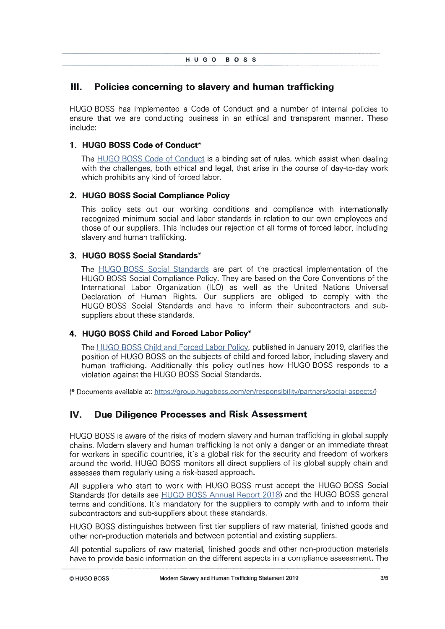## **III. Policies concerning to slavery and human trafficking**

HUGO BOSS has implemented a Code of Conduct and a number of internal policies to ensure that we are conducting business in an ethical and transparent manner. These include:

#### **1. HUGO BOSS Code of Conduct\***

The HUGO BOSS Code of Conduct is <sup>a</sup> binding set of rules, which assist when dealing with the challenges, both ethical and legal, that arise in the course of day-to-day work which prohibits any kind of forced labor.

#### **2. HUGO BOSS Social Compliance Policy**

This policy sets out our working conditions and compliance with internationally recognized minimum social and labor standards in relation to our own employees and those of our suppliers. This includes our rejection of all forms of forced labor, including slavery and human trafficking.

#### **3. HUGO BOSS Social Standards\***

The HUGO BOSS Social Standards are part of the practical implementation of the HUGO BOSS Social Compliance Policy. They are based on the Core Conventions of the International Labor Organization (ILO) as well as the United Nations Universal Declaration of Human Rights. Our suppliers are obliged to comply with the HUGO BOSS Social Standards and have to inform their subcontractors and subsuppliers about these standards.

#### **4. HUGO BOSS Child and Forced Labor Policy\***

The HUGO BOSS Child and Forced Labor Policy, published in January 2019, clarifies the position of HUGO BOSS on the subjects of child and forced labor, including slavery and human trafficking. Additionally this policy outlines how HUGO BOSS responds to a violation against the HUGO BOSS Social Standards.

**(\*** Docu ments available at: https://çiroup.huçoboss.com/en/responsibility/partners/social-aspects/)

## **IV. Due Diligence Processes and Risk Assessment**

HUGO BOSS is aware of the risks of modern slavery and human trafficking in global supply chains. Modern slavery and human trafficking is not only <sup>a</sup> danger or an immediate threat for workers in specific countries, it's <sup>a</sup> global risk for the security and freedom of workers around the world. HUGO BOSS monitors all direct suppliers of its global supply chain and assesses them regularly using a risk-based approach.

All suppliers who start to work with HUGO BOSS must accept the HUGO BOSS Social Standards (for details see HUGO BOSS Annual Report 2018) and the HUGO BOSS general terms and conditions. It's mandatory for the suppliers to comply with and to inform their subcontractors and sub-suppliers about these standards.

HUGO BOSS distinguishes between first tier suppliers of raw material, finished goods and other non-production materials and between potential and existing suppliers.

All potential suppliers of raw material, finished goods and other non-production materials have to provide basic information on the different aspects in <sup>a</sup> compliance assessment. The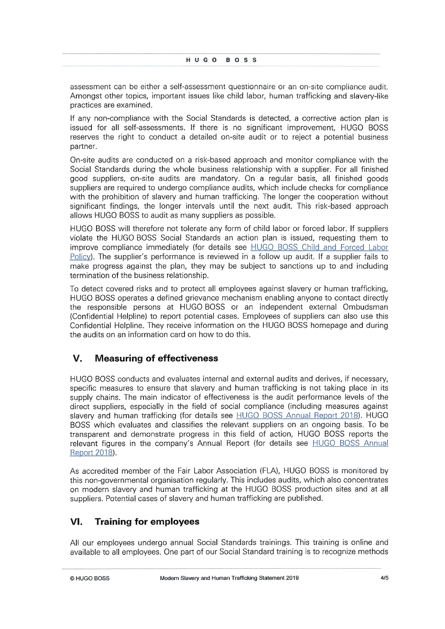assessment can be either a self-assessment questionnaire or an on-site compliance audit. Amongst other topics, important issues like child labor, human trafficking and slavery-like practices are examined.

If any non-compliance with the Social Standards is detected, a corrective action plan is issued for all self-assessments. If there is no significant improvement, HUGO BOSS reserves the right to conduct a detailed on -site audit or to reject a potential business partner.

On-site audits are conducted on a risk-based approach and monitor compliance with the Social Standards during the whole business relationship with <sup>a</sup> supplier. For all finished good suppliers, on-site audits are mandatory. On a regular basis, all finished goods suppliers are required to undergo compliance audits, which include checks for compliance with the prohibition of slavery and human trafficking. The longer the cooperation without significant findings, the longer intervals until the next audit. This risk-based approach allows HUGO BOSS to audit as many suppliers as possible.

HUGO BOSS will therefore not tolerate any form of child labor or forced labor. If suppliers violate the HUGO BOSS Social Standards an action plan is issued, requesting them to improve compliance immediately (for details see HUGO BOSS Child and Forced Labor Policy). The supplier's performance is reviewed in a follow up audit. If a supplier fails to make progress against the plan, they may be subject to sanctions up to and including termination of the business relationship.

To detect covered risks and to protect all employees against slavery or human trafficking, HUGO BOSS operates a defined grievance mechanism enabling anyone to contact directly the responsible persons at HUGO BOSS or an independent external Ombudsman (Confidential Helpline) to report potential cases. Employees of suppliers can also use this Confidential Helpline. They receive information on the HUGO BOSS homepage and during the audits on an information card on how to do this.

## **V. Measuring of effectiveness**

HUGO BOSS conducts and evaluates internal and external audits and derives, if necessary, specific measures to ensure that slavery and human trafficking is not taking place in its supply chains. The main indicator of effectiveness is the audit performance levels of the direct suppliers, especially in the field of social compliance (including measures against slavery and human trafficking (for details see HUGO BOSS Annual Report 2018). HUGO BOSS which evaluates and classifies the relevant suppliers on an ongoing basis. To be transparent and demonstrate progress in this field of action, HUGO BOSS reports the relevant figures in the company's Annual Report (for details see **HUGO BOSS** Annual Report 2018).

As accredited member of the Fair Labor Association (FLA), HUGO BOSS is monitored by this non-governmental organisation regularly. This includes audits, which also concentrates on modern slavery and human trafficking at the HUGO BOSS production sites and at all suppliers. Potential cases of slavery and human trafficking are published.

## **VI. Training for employees**

All our employees undergo annual Social Standards trainings. This training is online and available to all employees. One part of our Social Standard training is to recognize methods